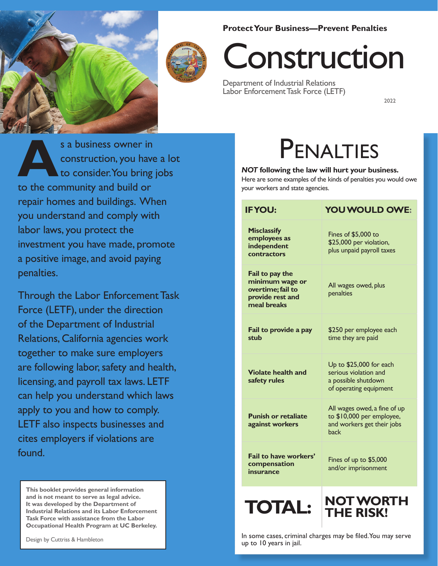#### **Protect Your Business—Prevent Penalties**





# Construction

Department of Industrial Relations Labor Enforcement Task Force (LETF)

2022

 to consider.You bring jobs repair homes and buildings. When s a business owner in<br>
construction, you have<br>
to consider. You bring<br>
to the community and build or construction, you have a lot you understand and comply with labor laws, you protect the investment you have made, promote a positive image, and avoid paying penalties.

Through the Labor Enforcement Task Force (LETF), under the direction of the Department of Industrial Relations, California agencies work together to make sure employers are following labor, safety and health, licensing, and payroll tax laws. LETF can help you understand which laws apply to you and how to comply. LETF also inspects businesses and cites employers if violations are found.

**This booklet provides general information and is not meant to serve as legal advice. It was developed by the Department of Industrial Relations and its Labor Enforcement Task Force with assistance from the Labor Occupational Health Program at UC Berkeley.** 

## PENALTIES

#### *NOT* **following the law will hurt your business.**

Here are some examples of the kinds of penalties you would owe your workers and state agencies.

| <b>IFYOU:</b>                                                                              | YOU WOULD OWE:                                                                                    |
|--------------------------------------------------------------------------------------------|---------------------------------------------------------------------------------------------------|
| <b>Misclassify</b><br>employees as<br>independent<br>contractors                           | Fines of \$5,000 to<br>\$25,000 per violation,<br>plus unpaid payroll taxes                       |
| Fail to pay the<br>minimum wage or<br>overtime; fail to<br>provide rest and<br>meal breaks | All wages owed, plus<br>penalties                                                                 |
| Fail to provide a pay<br>stub                                                              | \$250 per employee each<br>time they are paid                                                     |
| <b>Violate health and</b><br>safety rules                                                  | Up to \$25,000 for each<br>serious violation and<br>a possible shutdown<br>of operating equipment |
| <b>Punish or retaliate</b><br>against workers                                              | All wages owed, a fine of up<br>to \$10,000 per employee,<br>and workers get their jobs<br>back   |
| Fail to have workers'<br>compensation<br>insurance                                         | Fines of up to \$5,000<br>and/or imprisonment                                                     |
| TOTAL                                                                                      | <b>NOT WORTH</b><br>THE RISK!                                                                     |

In some cases, criminal charges may be filed.You may serve up to 10 years in jail.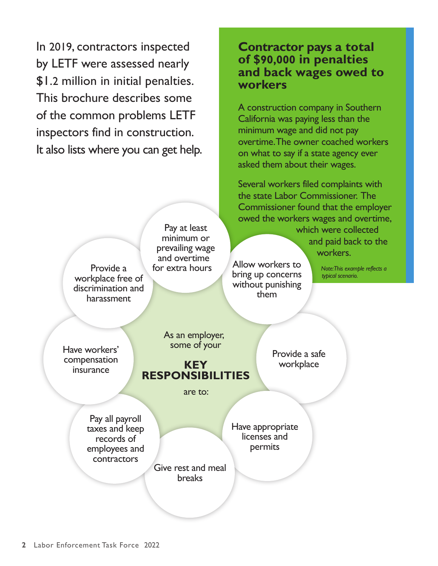In 2019, contractors inspected by LETF were assessed nearly \$1.2 million in initial penalties. This brochure describes some of the common problems LETF inspectors find in construction. It also lists where you can get help.

#### **Contractor pays a total workers of \$90,000 in penalties and back wages owed to**

 overtime.The owner coached workers asked them about their wages. A construction company in Southern California was paying less than the minimum wage and did not pay on what to say if a state agency ever

Several workers filed complaints with the state Labor Commissioner. The Commissioner found that the employer owed the workers wages and overtime,

> which were collected and paid back to the workers.

Allow workers to bring up concerns without punishing them

> Provide a safe workplace

*Note:This example reflects a typical scenario.* 

Have workers' compensation insurance

Provide a workplace free of discrimination and harassment

> As an employer, some of your

Pay at least minimum or prevailing wage and overtime for extra hours

**KEY RESPONSIBILITIES** 

are to:

Pay all payroll taxes and keep records of employees and contractors

Have appropriate licenses and permits

Give rest and meal breaks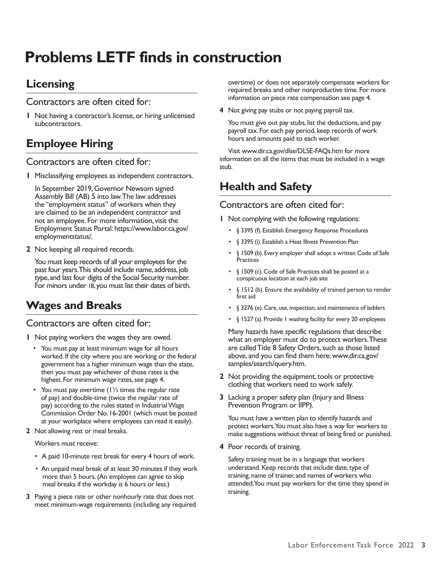## **Problems LETF finds in construction**

## **Licensing**

Contractors are often cited for:

 subcontractors. **1** Not having a contractor's license, or hiring unlicensed

## **Employee Hiring**

#### Contractors are often cited for:

**1** Misclassifying employees as independent contractors.

In September 2019, Governor Newsom signed Assembly Bill (AB) 5 into law.The law addresses the "employment status" of workers when they are claimed to be an independent contractor and not an employee. For more information, visit the Employment Status Portal: [https://www.labor.ca.gov/](https://www.labor.ca.gov/employmentstatus/) [employmentstatus/.](https://www.labor.ca.gov/employmentstatus/)

**2** Not keeping all required records.

 past four years.This should include name, address, job For minors under 18, you must list their dates of birth. You must keep records of all your employees for the type, and last four digits of the Social Security number.

## **Wages and Breaks**

#### Contractors are often cited for:

- **1** Not paying workers the wages they are owed.
	- • You must pay at least minimum wage for all hours worked. If the city where you are working or the federal government has a higher minimum wage than the state, then you must pay whichever of those rates is the highest. For minimum wage rates, see page 4.
	- You must pay overtime  $(1\frac{1}{2})$  times the regular rate Commission Order No. 16-2001 (which must be posted of pay) and double-time (twice the regular rate of pay) according to the rules stated in Industrial Wage at your workplace where employees can read it easily).
- **2** Not allowing rest or meal breaks.

Workers must receive:

- A paid 10-minute rest break for every 4 hours of work.
- • An unpaid meal break of at least 30 minutes if they work more than 5 hours. (An employee can agree to skip meal breaks if the workday is 6 hours or less.)
- **3** Paying a piece rate or other nonhourly rate that does not meet minimum-wage requirements (including any required

overtime) or does not separately compensate workers for required breaks and other nonproductive time. For more information on piece rate compensation see page 4.

**4** Not giving pay stubs or not paying payroll tax.

You must give out pay stubs, list the deductions, and pay payroll tax. For each pay period, keep records of work hours and amounts paid to each worker.

Visit www.dir.ca.gov/dlse/DLSE-FAQs.htm for more information on all the items that must be included in a wage stub.

## **Health and Safety**

#### Contractors are often cited for:

**1** Not complying with the following regulations:

- § 3395 (f). Establish Emergency Response Procedures
- § 3395 (i). Establish a Heat Illness Prevention Plan
- § 1509 (b). Every employer shall adopt a written Code of Safe **Practices**
- • § 1509 (c). Code of Safe Practices shall be posted at a conspicuous location at each job site
- • § 1512 (b). Ensure the availability of trained person to render first aid
- § 3276 (e). Care, use, inspection, and maintenance of ladders
- § 1527 (a). Provide 1 washing facility for every 20 employees

Many hazards have specific regulations that describe what an employer must do to protect workers.These are called Title 8 Safety Orders, such as those listed above, and you can find them here: [www.dir.ca.gov/](https://www.dir.ca.gov/samples/search/query.htm) [samples/search/query.htm.](http://www.dir.ca.gov/samples/search/query.htm)

- **2** Not providing the equipment, tools or protective clothing that workers need to work safely.
- Prevention Program or IIPP). **3** Lacking a proper safety plan (Injury and Illness

 protect workers.You must also have a way for workers to You must have a written plan to identify hazards and make suggestions without threat of being fired or punished.

**4** Poor records of training.

 attended.You must pay workers for the time they spend in Safety training must be in a language that workers understand. Keep records that include date, type of training, name of trainer, and names of workers who training.